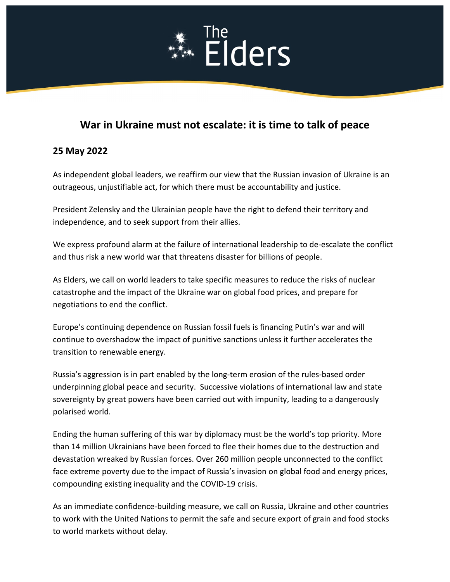# The The Elders

# **War in Ukraine must not escalate: it is time to talk of peace**

## **25 May 2022**

As independent global leaders, we reaffirm our view that the Russian invasion of Ukraine is an outrageous, unjustifiable act, for which there must be accountability and justice.

President Zelensky and the Ukrainian people have the right to defend their territory and independence, and to seek support from their allies.

We express profound alarm at the failure of international leadership to de-escalate the conflict and thus risk a new world war that threatens disaster for billions of people.

As Elders, we call on world leaders to take specific measures to reduce the risks of nuclear catastrophe and the impact of the Ukraine war on global food prices, and prepare for negotiations to end the conflict.

Europe's continuing dependence on Russian fossil fuels is financing Putin's war and will continue to overshadow the impact of punitive sanctions unless it further accelerates the transition to renewable energy.

Russia's aggression is in part enabled by the long-term erosion of the rules-based order underpinning global peace and security. Successive violations of international law and state sovereignty by great powers have been carried out with impunity, leading to a dangerously polarised world.

Ending the human suffering of this war by diplomacy must be the world's top priority. More than 14 million Ukrainians have been forced to flee their homes due to the destruction and devastation wreaked by Russian forces. Over 260 million people unconnected to the conflict face extreme poverty due to the impact of Russia's invasion on global food and energy prices, compounding existing inequality and the COVID-19 crisis.

As an immediate confidence-building measure, we call on Russia, Ukraine and other countries to work with the United Nations to permit the safe and secure export of grain and food stocks to world markets without delay.